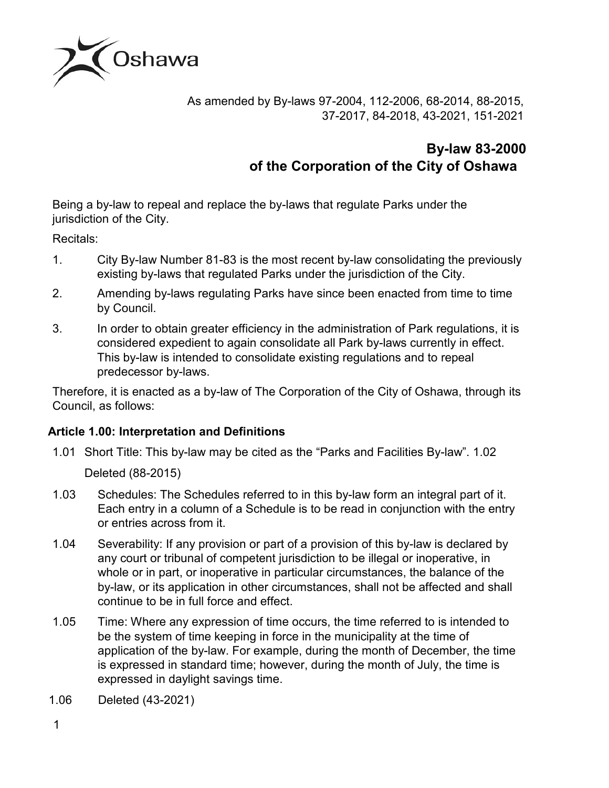

As amended by By-laws 97-2004, 112-2006, 68-2014, 88-2015, 37-2017, 84-2018, 43-2021, 151-2021

# **By-law 83-2000 of the Corporation of the City of Oshawa**

Being a by-law to repeal and replace the by-laws that regulate Parks under the jurisdiction of the City.

Recitals:

- 1. City By-law Number 81-83 is the most recent by-law consolidating the previously existing by-laws that regulated Parks under the jurisdiction of the City.
- 2. Amending by-laws regulating Parks have since been enacted from time to time by Council.
- 3. In order to obtain greater efficiency in the administration of Park regulations, it is considered expedient to again consolidate all Park by-laws currently in effect. This by-law is intended to consolidate existing regulations and to repeal predecessor by-laws.

Therefore, it is enacted as a by-law of The Corporation of the City of Oshawa, through its Council, as follows:

## **Article 1.00: Interpretation and Definitions**

1.01 Short Title: This by-law may be cited as the "Parks and Facilities By-law". 1.02

Deleted (88-2015)

- 1.03 Schedules: The Schedules referred to in this by-law form an integral part of it. Each entry in a column of a Schedule is to be read in conjunction with the entry or entries across from it.
- 1.04 Severability: If any provision or part of a provision of this by-law is declared by any court or tribunal of competent jurisdiction to be illegal or inoperative, in whole or in part, or inoperative in particular circumstances, the balance of the by-law, or its application in other circumstances, shall not be affected and shall continue to be in full force and effect.
- 1.05 Time: Where any expression of time occurs, the time referred to is intended to be the system of time keeping in force in the municipality at the time of application of the by-law. For example, during the month of December, the time is expressed in standard time; however, during the month of July, the time is expressed in daylight savings time.

1.06 Deleted (43-2021)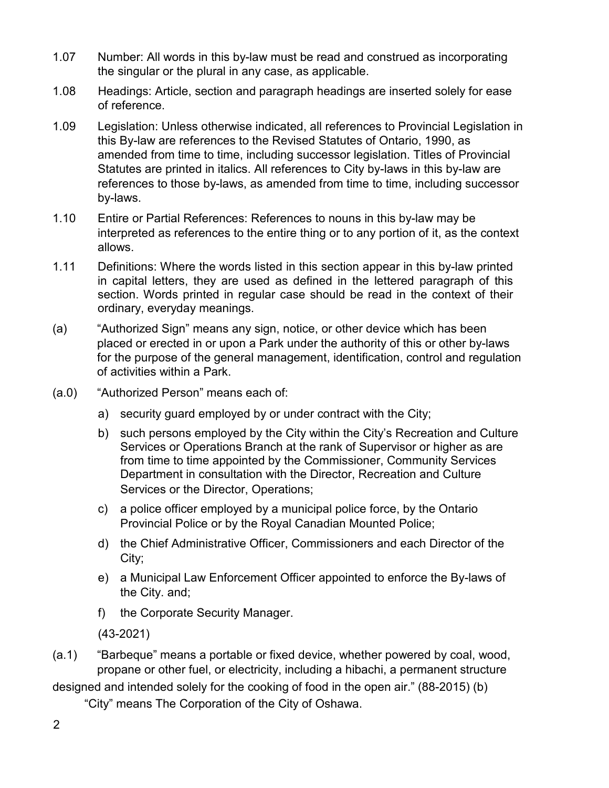- 1.07 Number: All words in this by-law must be read and construed as incorporating the singular or the plural in any case, as applicable.
- 1.08 Headings: Article, section and paragraph headings are inserted solely for ease of reference.
- 1.09 Legislation: Unless otherwise indicated, all references to Provincial Legislation in this By-law are references to the Revised Statutes of Ontario, 1990, as amended from time to time, including successor legislation. Titles of Provincial Statutes are printed in italics. All references to City by-laws in this by-law are references to those by-laws, as amended from time to time, including successor by-laws.
- 1.10 Entire or Partial References: References to nouns in this by-law may be interpreted as references to the entire thing or to any portion of it, as the context allows.
- 1.11 Definitions: Where the words listed in this section appear in this by-law printed in capital letters, they are used as defined in the lettered paragraph of this section. Words printed in regular case should be read in the context of their ordinary, everyday meanings.
- (a) "Authorized Sign" means any sign, notice, or other device which has been placed or erected in or upon a Park under the authority of this or other by-laws for the purpose of the general management, identification, control and regulation of activities within a Park.
- (a.0) "Authorized Person" means each of:
	- a) security guard employed by or under contract with the City;
	- b) such persons employed by the City within the City's Recreation and Culture Services or Operations Branch at the rank of Supervisor or higher as are from time to time appointed by the Commissioner, Community Services Department in consultation with the Director, Recreation and Culture Services or the Director, Operations;
	- c) a police officer employed by a municipal police force, by the Ontario Provincial Police or by the Royal Canadian Mounted Police;
	- d) the Chief Administrative Officer, Commissioners and each Director of the City;
	- e) a Municipal Law Enforcement Officer appointed to enforce the By-laws of the City. and;
	- f) the Corporate Security Manager.

(43-2021)

(a.1) "Barbeque" means a portable or fixed device, whether powered by coal, wood, propane or other fuel, or electricity, including a hibachi, a permanent structure

designed and intended solely for the cooking of food in the open air." (88-2015) (b)

"City" means The Corporation of the City of Oshawa.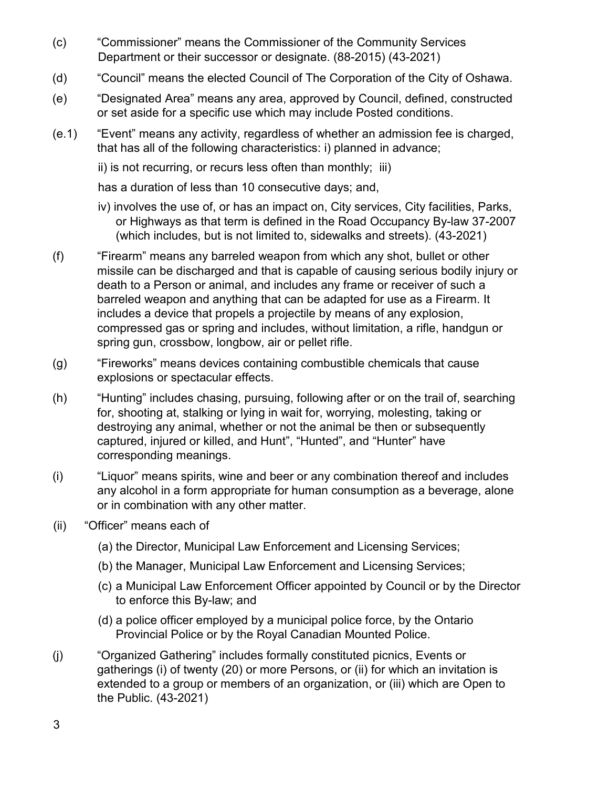- (c) "Commissioner" means the Commissioner of the Community Services Department or their successor or designate. (88-2015) (43-2021)
- (d) "Council" means the elected Council of The Corporation of the City of Oshawa.
- (e) "Designated Area" means any area, approved by Council, defined, constructed or set aside for a specific use which may include Posted conditions.
- (e.1) "Event" means any activity, regardless of whether an admission fee is charged, that has all of the following characteristics: i) planned in advance;

ii) is not recurring, or recurs less often than monthly; iii)

has a duration of less than 10 consecutive days; and,

- iv) involves the use of, or has an impact on, City services, City facilities, Parks, or Highways as that term is defined in the Road Occupancy By-law 37-2007 (which includes, but is not limited to, sidewalks and streets). (43-2021)
- (f) "Firearm" means any barreled weapon from which any shot, bullet or other missile can be discharged and that is capable of causing serious bodily injury or death to a Person or animal, and includes any frame or receiver of such a barreled weapon and anything that can be adapted for use as a Firearm. It includes a device that propels a projectile by means of any explosion, compressed gas or spring and includes, without limitation, a rifle, handgun or spring gun, crossbow, longbow, air or pellet rifle.
- (g) "Fireworks" means devices containing combustible chemicals that cause explosions or spectacular effects.
- (h) "Hunting" includes chasing, pursuing, following after or on the trail of, searching for, shooting at, stalking or lying in wait for, worrying, molesting, taking or destroying any animal, whether or not the animal be then or subsequently captured, injured or killed, and Hunt", "Hunted", and "Hunter" have corresponding meanings.
- (i) "Liquor" means spirits, wine and beer or any combination thereof and includes any alcohol in a form appropriate for human consumption as a beverage, alone or in combination with any other matter.
- (ii) "Officer" means each of
	- (a) the Director, Municipal Law Enforcement and Licensing Services;
	- (b) the Manager, Municipal Law Enforcement and Licensing Services;
	- (c) a Municipal Law Enforcement Officer appointed by Council or by the Director to enforce this By-law; and
	- (d) a police officer employed by a municipal police force, by the Ontario Provincial Police or by the Royal Canadian Mounted Police.
- (j) "Organized Gathering" includes formally constituted picnics, Events or gatherings (i) of twenty (20) or more Persons, or (ii) for which an invitation is extended to a group or members of an organization, or (iii) which are Open to the Public. (43-2021)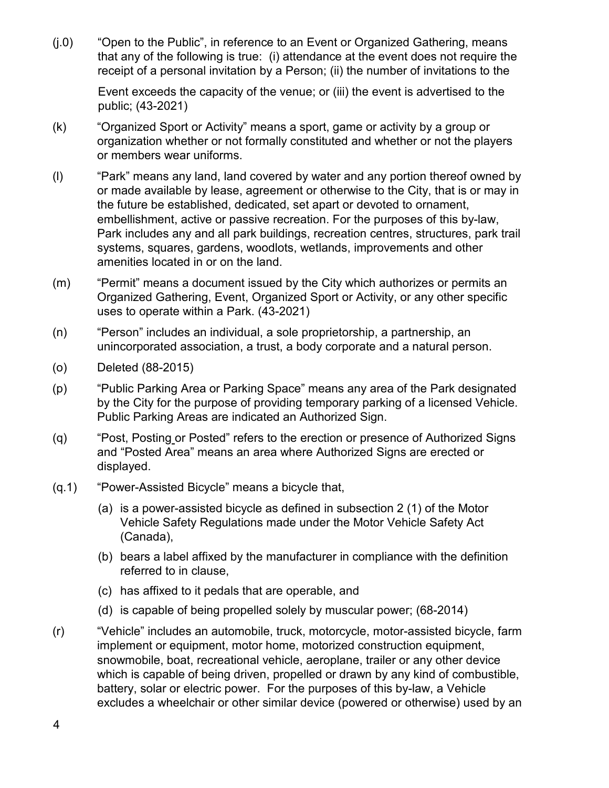(j.0) "Open to the Public", in reference to an Event or Organized Gathering, means that any of the following is true: (i) attendance at the event does not require the receipt of a personal invitation by a Person; (ii) the number of invitations to the

Event exceeds the capacity of the venue; or (iii) the event is advertised to the public; (43-2021)

- (k) "Organized Sport or Activity" means a sport, game or activity by a group or organization whether or not formally constituted and whether or not the players or members wear uniforms.
- (l) "Park" means any land, land covered by water and any portion thereof owned by or made available by lease, agreement or otherwise to the City, that is or may in the future be established, dedicated, set apart or devoted to ornament, embellishment, active or passive recreation. For the purposes of this by-law, Park includes any and all park buildings, recreation centres, structures, park trail systems, squares, gardens, woodlots, wetlands, improvements and other amenities located in or on the land.
- (m) "Permit" means a document issued by the City which authorizes or permits an Organized Gathering, Event, Organized Sport or Activity, or any other specific uses to operate within a Park. (43-2021)
- (n) "Person" includes an individual, a sole proprietorship, a partnership, an unincorporated association, a trust, a body corporate and a natural person.
- (o) Deleted (88-2015)
- (p) "Public Parking Area or Parking Space" means any area of the Park designated by the City for the purpose of providing temporary parking of a licensed Vehicle. Public Parking Areas are indicated an Authorized Sign.
- (q) "Post, Posting or Posted" refers to the erection or presence of Authorized Signs and "Posted Area" means an area where Authorized Signs are erected or displayed.
- (q.1) "Power-Assisted Bicycle" means a bicycle that,
	- (a) is a power-assisted bicycle as defined in subsection 2 (1) of the Motor Vehicle Safety Regulations made under the Motor Vehicle Safety Act (Canada),
	- (b) bears a label affixed by the manufacturer in compliance with the definition referred to in clause,
	- (c) has affixed to it pedals that are operable, and
	- (d) is capable of being propelled solely by muscular power; (68-2014)
- (r) "Vehicle" includes an automobile, truck, motorcycle, motor-assisted bicycle, farm implement or equipment, motor home, motorized construction equipment, snowmobile, boat, recreational vehicle, aeroplane, trailer or any other device which is capable of being driven, propelled or drawn by any kind of combustible, battery, solar or electric power. For the purposes of this by-law, a Vehicle excludes a wheelchair or other similar device (powered or otherwise) used by an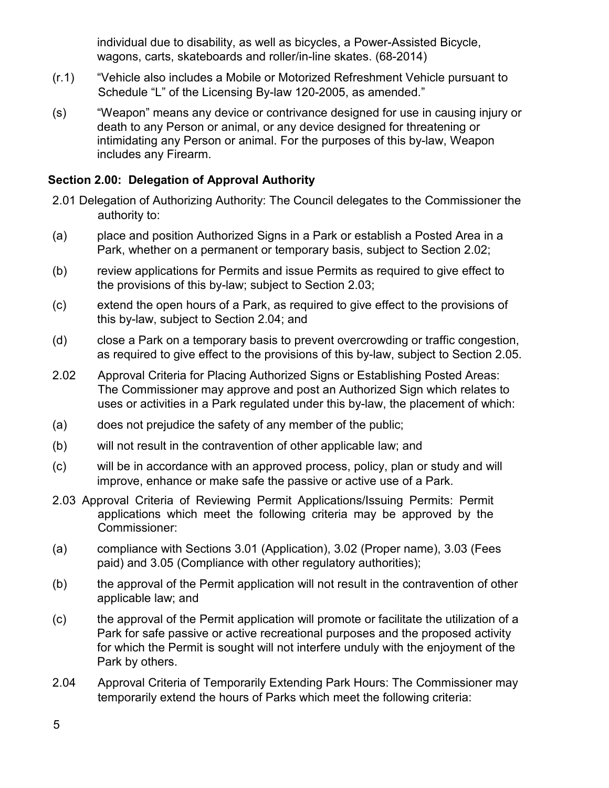individual due to disability, as well as bicycles, a Power-Assisted Bicycle, wagons, carts, skateboards and roller/in-line skates. (68-2014)

- (r.1) "Vehicle also includes a Mobile or Motorized Refreshment Vehicle pursuant to Schedule "L" of the Licensing By-law 120-2005, as amended."
- (s) "Weapon" means any device or contrivance designed for use in causing injury or death to any Person or animal, or any device designed for threatening or intimidating any Person or animal. For the purposes of this by-law, Weapon includes any Firearm.

## **Section 2.00: Delegation of Approval Authority**

- 2.01 Delegation of Authorizing Authority: The Council delegates to the Commissioner the authority to:
- (a) place and position Authorized Signs in a Park or establish a Posted Area in a Park, whether on a permanent or temporary basis, subject to Section 2.02;
- (b) review applications for Permits and issue Permits as required to give effect to the provisions of this by-law; subject to Section 2.03;
- (c) extend the open hours of a Park, as required to give effect to the provisions of this by-law, subject to Section 2.04; and
- (d) close a Park on a temporary basis to prevent overcrowding or traffic congestion, as required to give effect to the provisions of this by-law, subject to Section 2.05.
- 2.02 Approval Criteria for Placing Authorized Signs or Establishing Posted Areas: The Commissioner may approve and post an Authorized Sign which relates to uses or activities in a Park regulated under this by-law, the placement of which:
- (a) does not prejudice the safety of any member of the public;
- (b) will not result in the contravention of other applicable law; and
- (c) will be in accordance with an approved process, policy, plan or study and will improve, enhance or make safe the passive or active use of a Park.
- 2.03 Approval Criteria of Reviewing Permit Applications/Issuing Permits: Permit applications which meet the following criteria may be approved by the Commissioner:
- (a) compliance with Sections 3.01 (Application), 3.02 (Proper name), 3.03 (Fees paid) and 3.05 (Compliance with other regulatory authorities);
- (b) the approval of the Permit application will not result in the contravention of other applicable law; and
- (c) the approval of the Permit application will promote or facilitate the utilization of a Park for safe passive or active recreational purposes and the proposed activity for which the Permit is sought will not interfere unduly with the enjoyment of the Park by others.
- 2.04 Approval Criteria of Temporarily Extending Park Hours: The Commissioner may temporarily extend the hours of Parks which meet the following criteria: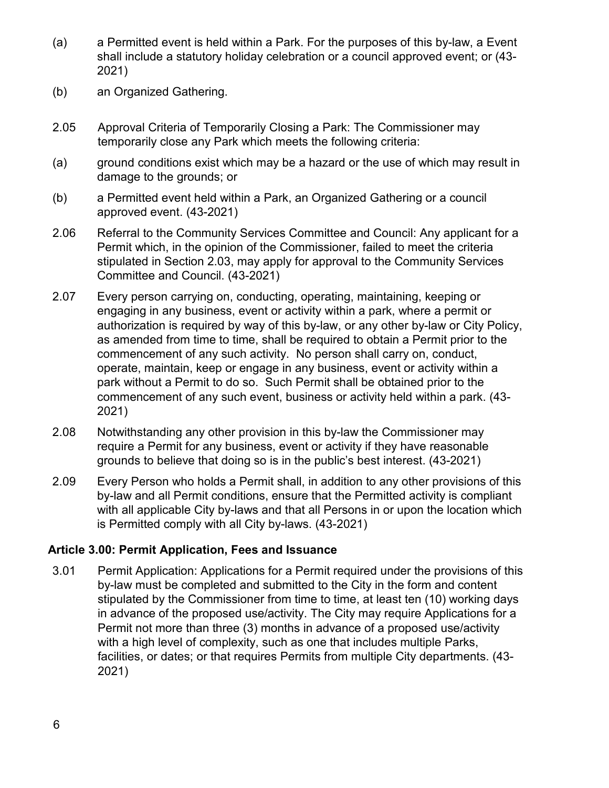- (a) a Permitted event is held within a Park. For the purposes of this by-law, a Event shall include a statutory holiday celebration or a council approved event; or (43- 2021)
- (b) an Organized Gathering.
- 2.05 Approval Criteria of Temporarily Closing a Park: The Commissioner may temporarily close any Park which meets the following criteria:
- (a) ground conditions exist which may be a hazard or the use of which may result in damage to the grounds; or
- (b) a Permitted event held within a Park, an Organized Gathering or a council approved event. (43-2021)
- 2.06 Referral to the Community Services Committee and Council: Any applicant for a Permit which, in the opinion of the Commissioner, failed to meet the criteria stipulated in Section 2.03, may apply for approval to the Community Services Committee and Council. (43-2021)
- 2.07 Every person carrying on, conducting, operating, maintaining, keeping or engaging in any business, event or activity within a park, where a permit or authorization is required by way of this by-law, or any other by-law or City Policy, as amended from time to time, shall be required to obtain a Permit prior to the commencement of any such activity. No person shall carry on, conduct, operate, maintain, keep or engage in any business, event or activity within a park without a Permit to do so. Such Permit shall be obtained prior to the commencement of any such event, business or activity held within a park. (43- 2021)
- 2.08 Notwithstanding any other provision in this by-law the Commissioner may require a Permit for any business, event or activity if they have reasonable grounds to believe that doing so is in the public's best interest. (43-2021)
- 2.09 Every Person who holds a Permit shall, in addition to any other provisions of this by-law and all Permit conditions, ensure that the Permitted activity is compliant with all applicable City by-laws and that all Persons in or upon the location which is Permitted comply with all City by-laws. (43-2021)

#### **Article 3.00: Permit Application, Fees and Issuance**

3.01 Permit Application: Applications for a Permit required under the provisions of this by-law must be completed and submitted to the City in the form and content stipulated by the Commissioner from time to time, at least ten (10) working days in advance of the proposed use/activity. The City may require Applications for a Permit not more than three (3) months in advance of a proposed use/activity with a high level of complexity, such as one that includes multiple Parks, facilities, or dates; or that requires Permits from multiple City departments. (43- 2021)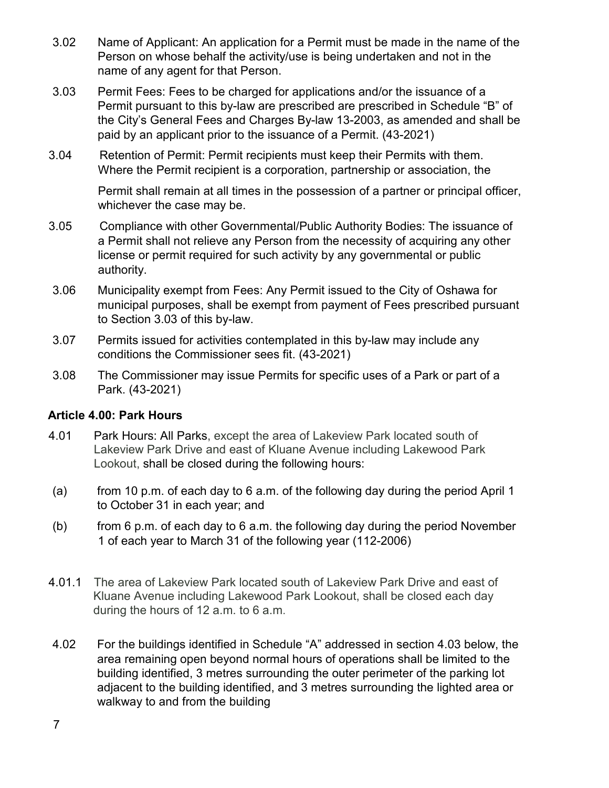- 3.02 Name of Applicant: An application for a Permit must be made in the name of the Person on whose behalf the activity/use is being undertaken and not in the name of any agent for that Person.
- 3.03 Permit Fees: Fees to be charged for applications and/or the issuance of a Permit pursuant to this by-law are prescribed are prescribed in Schedule "B" of the City's General Fees and Charges By-law 13-2003, as amended and shall be paid by an applicant prior to the issuance of a Permit. (43-2021)
- 3.04 Retention of Permit: Permit recipients must keep their Permits with them. Where the Permit recipient is a corporation, partnership or association, the

Permit shall remain at all times in the possession of a partner or principal officer, whichever the case may be.

- 3.05 Compliance with other Governmental/Public Authority Bodies: The issuance of a Permit shall not relieve any Person from the necessity of acquiring any other license or permit required for such activity by any governmental or public authority.
- 3.06 Municipality exempt from Fees: Any Permit issued to the City of Oshawa for municipal purposes, shall be exempt from payment of Fees prescribed pursuant to Section 3.03 of this by-law.
- 3.07 Permits issued for activities contemplated in this by-law may include any conditions the Commissioner sees fit. (43-2021)
- 3.08 The Commissioner may issue Permits for specific uses of a Park or part of a Park. (43-2021)

## **Article 4.00: Park Hours**

- 4.01 Park Hours: All Parks, except the area of Lakeview Park located south of Lakeview Park Drive and east of Kluane Avenue including Lakewood Park Lookout, shall be closed during the following hours:
- (a) from 10 p.m. of each day to 6 a.m. of the following day during the period April 1 to October 31 in each year; and
- (b) from 6 p.m. of each day to 6 a.m. the following day during the period November 1 of each year to March 31 of the following year (112-2006)
- 4.01.1 The area of Lakeview Park located south of Lakeview Park Drive and east of Kluane Avenue including Lakewood Park Lookout, shall be closed each day during the hours of 12 a.m. to 6 a.m.
- 4.02 For the buildings identified in Schedule "A" addressed in section 4.03 below, the area remaining open beyond normal hours of operations shall be limited to the building identified, 3 metres surrounding the outer perimeter of the parking lot adjacent to the building identified, and 3 metres surrounding the lighted area or walkway to and from the building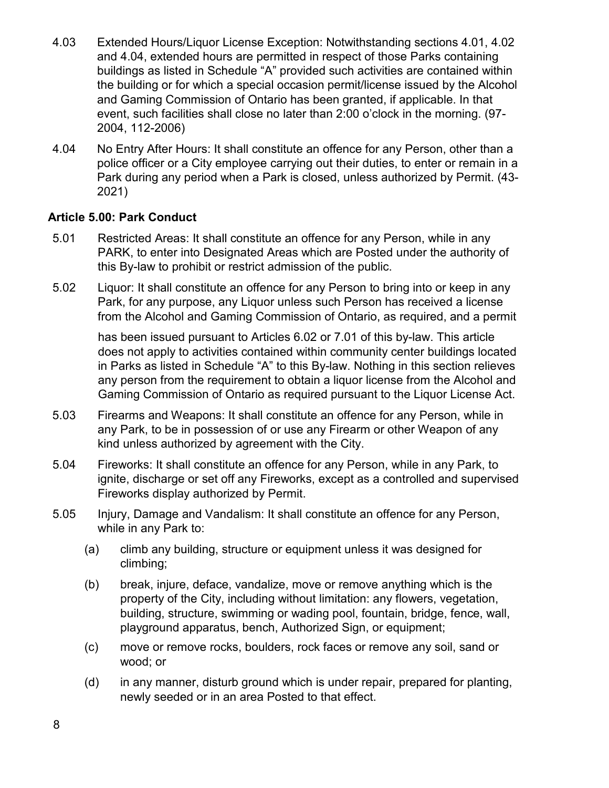- 4.03 Extended Hours/Liquor License Exception: Notwithstanding sections 4.01, 4.02 and 4.04, extended hours are permitted in respect of those Parks containing buildings as listed in Schedule "A" provided such activities are contained within the building or for which a special occasion permit/license issued by the Alcohol and Gaming Commission of Ontario has been granted, if applicable. In that event, such facilities shall close no later than 2:00 o'clock in the morning. (97- 2004, 112-2006)
- 4.04 No Entry After Hours: It shall constitute an offence for any Person, other than a police officer or a City employee carrying out their duties, to enter or remain in a Park during any period when a Park is closed, unless authorized by Permit. (43- 2021)

## **Article 5.00: Park Conduct**

- 5.01 Restricted Areas: It shall constitute an offence for any Person, while in any PARK, to enter into Designated Areas which are Posted under the authority of this By-law to prohibit or restrict admission of the public.
- 5.02 Liquor: It shall constitute an offence for any Person to bring into or keep in any Park, for any purpose, any Liquor unless such Person has received a license from the Alcohol and Gaming Commission of Ontario, as required, and a permit

has been issued pursuant to Articles 6.02 or 7.01 of this by-law. This article does not apply to activities contained within community center buildings located in Parks as listed in Schedule "A" to this By-law. Nothing in this section relieves any person from the requirement to obtain a liquor license from the Alcohol and Gaming Commission of Ontario as required pursuant to the Liquor License Act.

- 5.03 Firearms and Weapons: It shall constitute an offence for any Person, while in any Park, to be in possession of or use any Firearm or other Weapon of any kind unless authorized by agreement with the City.
- 5.04 Fireworks: It shall constitute an offence for any Person, while in any Park, to ignite, discharge or set off any Fireworks, except as a controlled and supervised Fireworks display authorized by Permit.
- 5.05 Injury, Damage and Vandalism: It shall constitute an offence for any Person, while in any Park to:
	- (a) climb any building, structure or equipment unless it was designed for climbing;
	- (b) break, injure, deface, vandalize, move or remove anything which is the property of the City, including without limitation: any flowers, vegetation, building, structure, swimming or wading pool, fountain, bridge, fence, wall, playground apparatus, bench, Authorized Sign, or equipment;
	- (c) move or remove rocks, boulders, rock faces or remove any soil, sand or wood; or
	- (d) in any manner, disturb ground which is under repair, prepared for planting, newly seeded or in an area Posted to that effect.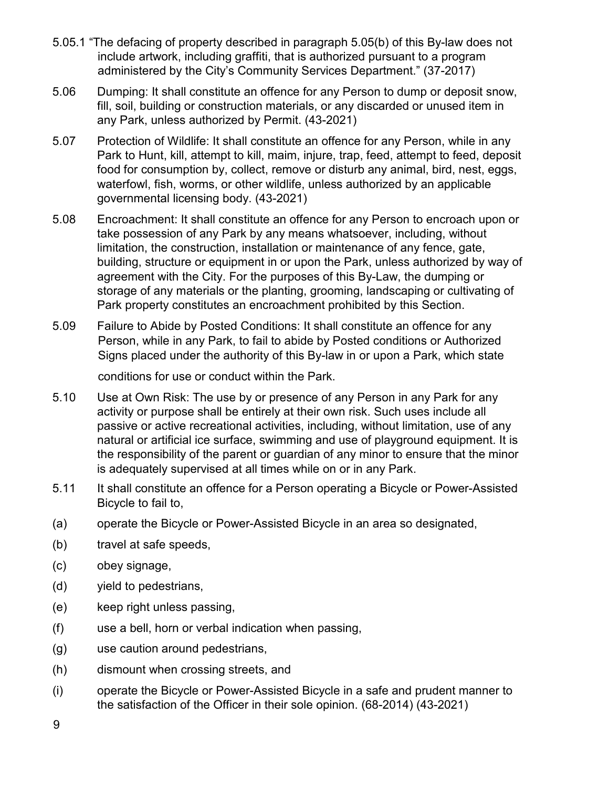- 5.05.1 "The defacing of property described in paragraph 5.05(b) of this By-law does not include artwork, including graffiti, that is authorized pursuant to a program administered by the City's Community Services Department." (37-2017)
- 5.06 Dumping: It shall constitute an offence for any Person to dump or deposit snow, fill, soil, building or construction materials, or any discarded or unused item in any Park, unless authorized by Permit. (43-2021)
- 5.07 Protection of Wildlife: It shall constitute an offence for any Person, while in any Park to Hunt, kill, attempt to kill, maim, injure, trap, feed, attempt to feed, deposit food for consumption by, collect, remove or disturb any animal, bird, nest, eggs, waterfowl, fish, worms, or other wildlife, unless authorized by an applicable governmental licensing body. (43-2021)
- 5.08 Encroachment: It shall constitute an offence for any Person to encroach upon or take possession of any Park by any means whatsoever, including, without limitation, the construction, installation or maintenance of any fence, gate, building, structure or equipment in or upon the Park, unless authorized by way of agreement with the City. For the purposes of this By-Law, the dumping or storage of any materials or the planting, grooming, landscaping or cultivating of Park property constitutes an encroachment prohibited by this Section.
- 5.09 Failure to Abide by Posted Conditions: It shall constitute an offence for any Person, while in any Park, to fail to abide by Posted conditions or Authorized Signs placed under the authority of this By-law in or upon a Park, which state

conditions for use or conduct within the Park.

- 5.10 Use at Own Risk: The use by or presence of any Person in any Park for any activity or purpose shall be entirely at their own risk. Such uses include all passive or active recreational activities, including, without limitation, use of any natural or artificial ice surface, swimming and use of playground equipment. It is the responsibility of the parent or guardian of any minor to ensure that the minor is adequately supervised at all times while on or in any Park.
- 5.11 It shall constitute an offence for a Person operating a Bicycle or Power-Assisted Bicycle to fail to,
- (a) operate the Bicycle or Power-Assisted Bicycle in an area so designated,
- (b) travel at safe speeds,
- (c) obey signage,
- (d) yield to pedestrians,
- (e) keep right unless passing,
- (f) use a bell, horn or verbal indication when passing,
- (g) use caution around pedestrians,
- (h) dismount when crossing streets, and
- (i) operate the Bicycle or Power-Assisted Bicycle in a safe and prudent manner to the satisfaction of the Officer in their sole opinion. (68-2014) (43-2021)

9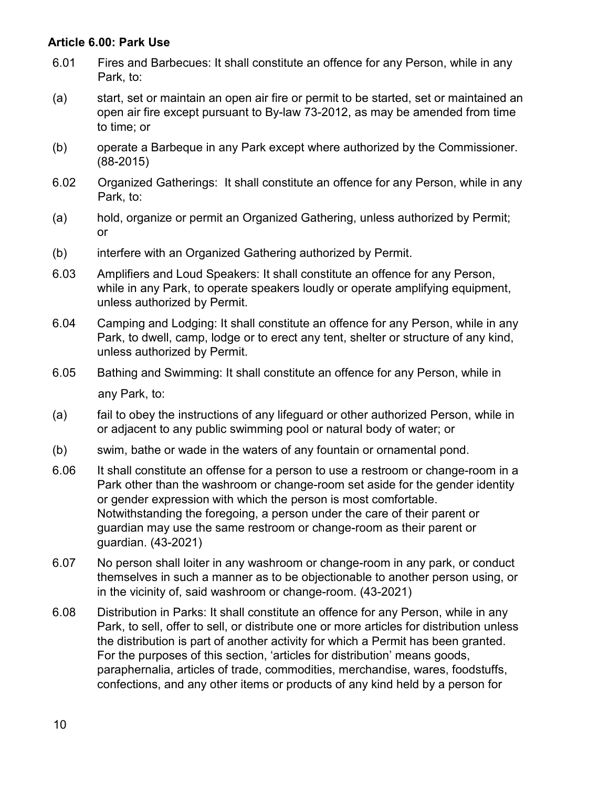#### **Article 6.00: Park Use**

- 6.01 Fires and Barbecues: It shall constitute an offence for any Person, while in any Park, to:
- (a) start, set or maintain an open air fire or permit to be started, set or maintained an open air fire except pursuant to By-law 73-2012, as may be amended from time to time; or
- (b) operate a Barbeque in any Park except where authorized by the Commissioner. (88-2015)
- 6.02 Organized Gatherings: It shall constitute an offence for any Person, while in any Park, to:
- (a) hold, organize or permit an Organized Gathering, unless authorized by Permit; or
- (b) interfere with an Organized Gathering authorized by Permit.
- 6.03 Amplifiers and Loud Speakers: It shall constitute an offence for any Person, while in any Park, to operate speakers loudly or operate amplifying equipment, unless authorized by Permit.
- 6.04 Camping and Lodging: It shall constitute an offence for any Person, while in any Park, to dwell, camp, lodge or to erect any tent, shelter or structure of any kind, unless authorized by Permit.
- 6.05 Bathing and Swimming: It shall constitute an offence for any Person, while in any Park, to:
- (a) fail to obey the instructions of any lifeguard or other authorized Person, while in or adjacent to any public swimming pool or natural body of water; or
- (b) swim, bathe or wade in the waters of any fountain or ornamental pond.
- 6.06 It shall constitute an offense for a person to use a restroom or change-room in a Park other than the washroom or change-room set aside for the gender identity or gender expression with which the person is most comfortable. Notwithstanding the foregoing, a person under the care of their parent or guardian may use the same restroom or change-room as their parent or guardian. (43-2021)
- 6.07 No person shall loiter in any washroom or change-room in any park, or conduct themselves in such a manner as to be objectionable to another person using, or in the vicinity of, said washroom or change-room. (43-2021)
- 6.08 Distribution in Parks: It shall constitute an offence for any Person, while in any Park, to sell, offer to sell, or distribute one or more articles for distribution unless the distribution is part of another activity for which a Permit has been granted. For the purposes of this section, 'articles for distribution' means goods, paraphernalia, articles of trade, commodities, merchandise, wares, foodstuffs, confections, and any other items or products of any kind held by a person for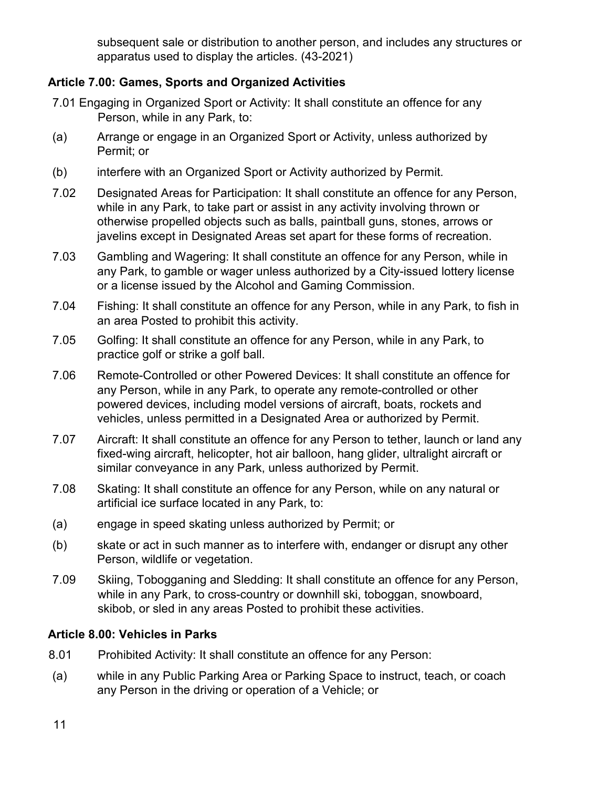subsequent sale or distribution to another person, and includes any structures or apparatus used to display the articles. (43-2021)

## **Article 7.00: Games, Sports and Organized Activities**

- 7.01 Engaging in Organized Sport or Activity: It shall constitute an offence for any Person, while in any Park, to:
- (a) Arrange or engage in an Organized Sport or Activity, unless authorized by Permit; or
- (b) interfere with an Organized Sport or Activity authorized by Permit.
- 7.02 Designated Areas for Participation: It shall constitute an offence for any Person, while in any Park, to take part or assist in any activity involving thrown or otherwise propelled objects such as balls, paintball guns, stones, arrows or javelins except in Designated Areas set apart for these forms of recreation.
- 7.03 Gambling and Wagering: It shall constitute an offence for any Person, while in any Park, to gamble or wager unless authorized by a City-issued lottery license or a license issued by the Alcohol and Gaming Commission.
- 7.04 Fishing: It shall constitute an offence for any Person, while in any Park, to fish in an area Posted to prohibit this activity.
- 7.05 Golfing: It shall constitute an offence for any Person, while in any Park, to practice golf or strike a golf ball.
- 7.06 Remote-Controlled or other Powered Devices: It shall constitute an offence for any Person, while in any Park, to operate any remote-controlled or other powered devices, including model versions of aircraft, boats, rockets and vehicles, unless permitted in a Designated Area or authorized by Permit.
- 7.07 Aircraft: It shall constitute an offence for any Person to tether, launch or land any fixed-wing aircraft, helicopter, hot air balloon, hang glider, ultralight aircraft or similar conveyance in any Park, unless authorized by Permit.
- 7.08 Skating: It shall constitute an offence for any Person, while on any natural or artificial ice surface located in any Park, to:
- (a) engage in speed skating unless authorized by Permit; or
- (b) skate or act in such manner as to interfere with, endanger or disrupt any other Person, wildlife or vegetation.
- 7.09 Skiing, Tobogganing and Sledding: It shall constitute an offence for any Person, while in any Park, to cross-country or downhill ski, toboggan, snowboard, skibob, or sled in any areas Posted to prohibit these activities.

## **Article 8.00: Vehicles in Parks**

- 8.01 Prohibited Activity: It shall constitute an offence for any Person:
- (a) while in any Public Parking Area or Parking Space to instruct, teach, or coach any Person in the driving or operation of a Vehicle; or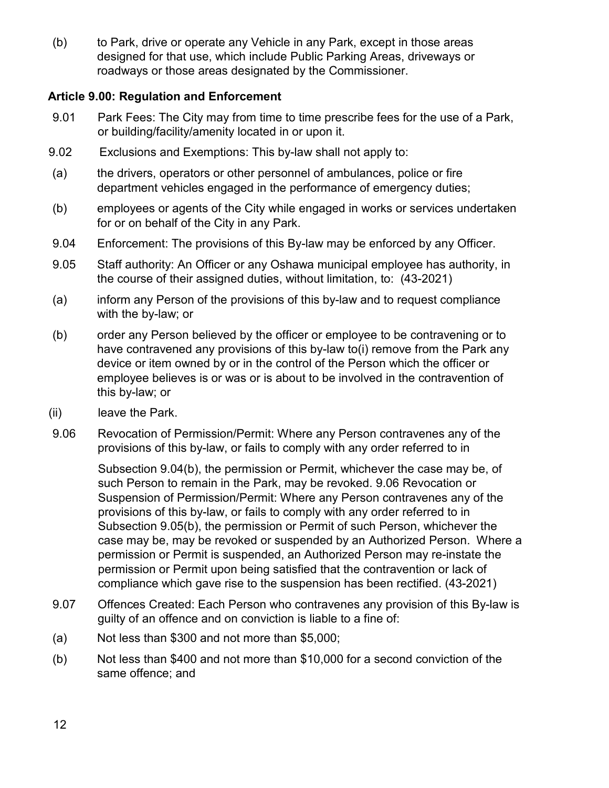(b) to Park, drive or operate any Vehicle in any Park, except in those areas designed for that use, which include Public Parking Areas, driveways or roadways or those areas designated by the Commissioner.

### **Article 9.00: Regulation and Enforcement**

- 9.01 Park Fees: The City may from time to time prescribe fees for the use of a Park, or building/facility/amenity located in or upon it.
- 9.02 Exclusions and Exemptions: This by-law shall not apply to:
- (a) the drivers, operators or other personnel of ambulances, police or fire department vehicles engaged in the performance of emergency duties;
- (b) employees or agents of the City while engaged in works or services undertaken for or on behalf of the City in any Park.
- 9.04 Enforcement: The provisions of this By-law may be enforced by any Officer.
- 9.05 Staff authority: An Officer or any Oshawa municipal employee has authority, in the course of their assigned duties, without limitation, to: (43-2021)
- (a) inform any Person of the provisions of this by-law and to request compliance with the by-law; or
- (b) order any Person believed by the officer or employee to be contravening or to have contravened any provisions of this by-law to(i) remove from the Park any device or item owned by or in the control of the Person which the officer or employee believes is or was or is about to be involved in the contravention of this by-law; or
- (ii) leave the Park.
- 9.06 Revocation of Permission/Permit: Where any Person contravenes any of the provisions of this by-law, or fails to comply with any order referred to in

Subsection 9.04(b), the permission or Permit, whichever the case may be, of such Person to remain in the Park, may be revoked. 9.06 Revocation or Suspension of Permission/Permit: Where any Person contravenes any of the provisions of this by-law, or fails to comply with any order referred to in Subsection 9.05(b), the permission or Permit of such Person, whichever the case may be, may be revoked or suspended by an Authorized Person. Where a permission or Permit is suspended, an Authorized Person may re-instate the permission or Permit upon being satisfied that the contravention or lack of compliance which gave rise to the suspension has been rectified. (43-2021)

- 9.07 Offences Created: Each Person who contravenes any provision of this By-law is guilty of an offence and on conviction is liable to a fine of:
- (a) Not less than \$300 and not more than \$5,000;
- (b) Not less than \$400 and not more than \$10,000 for a second conviction of the same offence; and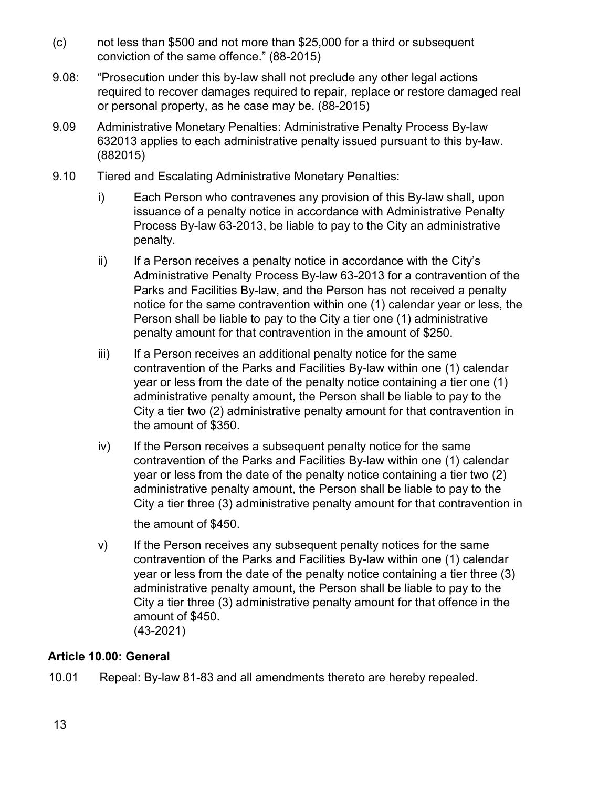- (c) not less than \$500 and not more than \$25,000 for a third or subsequent conviction of the same offence." (88-2015)
- 9.08: "Prosecution under this by-law shall not preclude any other legal actions required to recover damages required to repair, replace or restore damaged real or personal property, as he case may be. (88-2015)
- 9.09 Administrative Monetary Penalties: Administrative Penalty Process By-law 632013 applies to each administrative penalty issued pursuant to this by-law. (882015)
- 9.10 Tiered and Escalating Administrative Monetary Penalties:
	- i) Each Person who contravenes any provision of this By-law shall, upon issuance of a penalty notice in accordance with Administrative Penalty Process By-law 63-2013, be liable to pay to the City an administrative penalty.
	- $ii)$  If a Person receives a penalty notice in accordance with the City's Administrative Penalty Process By-law 63-2013 for a contravention of the Parks and Facilities By-law, and the Person has not received a penalty notice for the same contravention within one (1) calendar year or less, the Person shall be liable to pay to the City a tier one (1) administrative penalty amount for that contravention in the amount of \$250.
	- iii) If a Person receives an additional penalty notice for the same contravention of the Parks and Facilities By-law within one (1) calendar year or less from the date of the penalty notice containing a tier one (1) administrative penalty amount, the Person shall be liable to pay to the City a tier two (2) administrative penalty amount for that contravention in the amount of \$350.
	- iv) If the Person receives a subsequent penalty notice for the same contravention of the Parks and Facilities By-law within one (1) calendar year or less from the date of the penalty notice containing a tier two (2) administrative penalty amount, the Person shall be liable to pay to the City a tier three (3) administrative penalty amount for that contravention in

the amount of \$450.

v) If the Person receives any subsequent penalty notices for the same contravention of the Parks and Facilities By-law within one (1) calendar year or less from the date of the penalty notice containing a tier three (3) administrative penalty amount, the Person shall be liable to pay to the City a tier three (3) administrative penalty amount for that offence in the amount of \$450. (43-2021)

## **Article 10.00: General**

10.01 Repeal: By-law 81-83 and all amendments thereto are hereby repealed.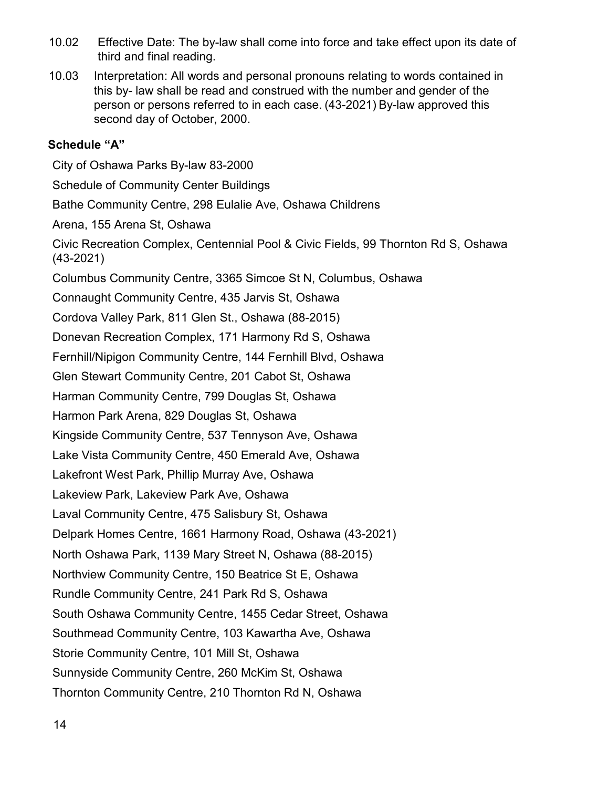- 10.02 Effective Date: The by-law shall come into force and take effect upon its date of third and final reading.
- 10.03 Interpretation: All words and personal pronouns relating to words contained in this by- law shall be read and construed with the number and gender of the person or persons referred to in each case. (43-2021) By-law approved this second day of October, 2000.

### **Schedule "A"**

City of Oshawa Parks By-law 83-2000 Schedule of Community Center Buildings Bathe Community Centre, 298 Eulalie Ave, Oshawa Childrens Arena, 155 Arena St, Oshawa Civic Recreation Complex, Centennial Pool & Civic Fields, 99 Thornton Rd S, Oshawa (43-2021) Columbus Community Centre, 3365 Simcoe St N, Columbus, Oshawa Connaught Community Centre, 435 Jarvis St, Oshawa Cordova Valley Park, 811 Glen St., Oshawa (88-2015) Donevan Recreation Complex, 171 Harmony Rd S, Oshawa Fernhill/Nipigon Community Centre, 144 Fernhill Blvd, Oshawa Glen Stewart Community Centre, 201 Cabot St, Oshawa Harman Community Centre, 799 Douglas St, Oshawa Harmon Park Arena, 829 Douglas St, Oshawa Kingside Community Centre, 537 Tennyson Ave, Oshawa Lake Vista Community Centre, 450 Emerald Ave, Oshawa Lakefront West Park, Phillip Murray Ave, Oshawa Lakeview Park, Lakeview Park Ave, Oshawa Laval Community Centre, 475 Salisbury St, Oshawa Delpark Homes Centre, 1661 Harmony Road, Oshawa (43-2021) North Oshawa Park, 1139 Mary Street N, Oshawa (88-2015) Northview Community Centre, 150 Beatrice St E, Oshawa Rundle Community Centre, 241 Park Rd S, Oshawa South Oshawa Community Centre, 1455 Cedar Street, Oshawa Southmead Community Centre, 103 Kawartha Ave, Oshawa Storie Community Centre, 101 Mill St, Oshawa Sunnyside Community Centre, 260 McKim St, Oshawa Thornton Community Centre, 210 Thornton Rd N, Oshawa